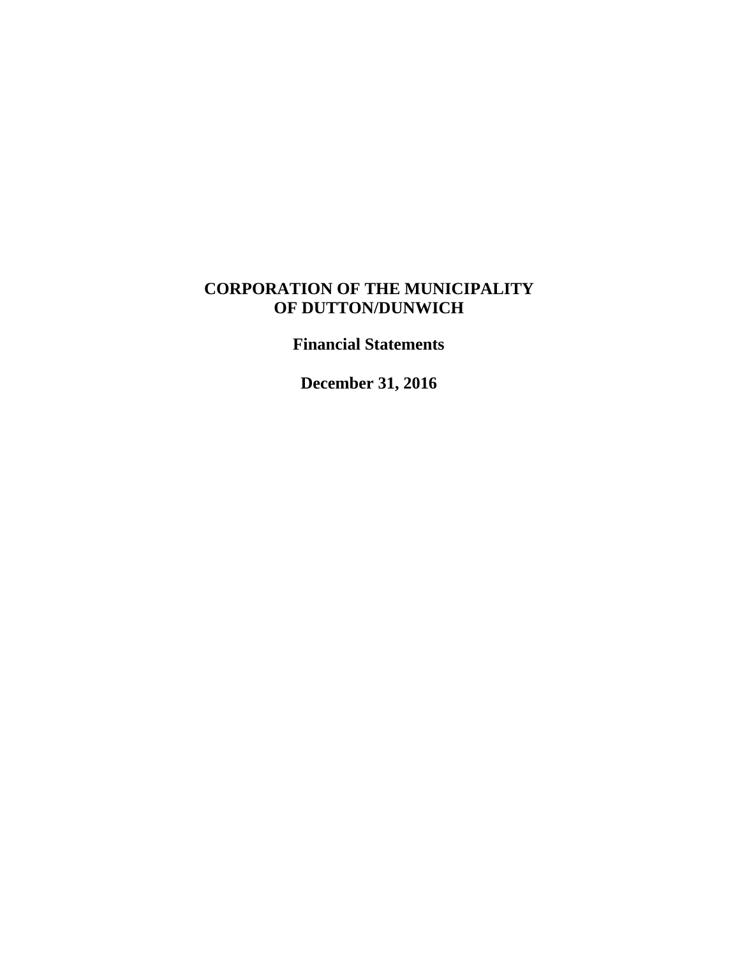### **CORPORATION OF THE MUNICIPALITY OF DUTTON/DUNWICH**

**Financial Statements** 

**December 31, 2016**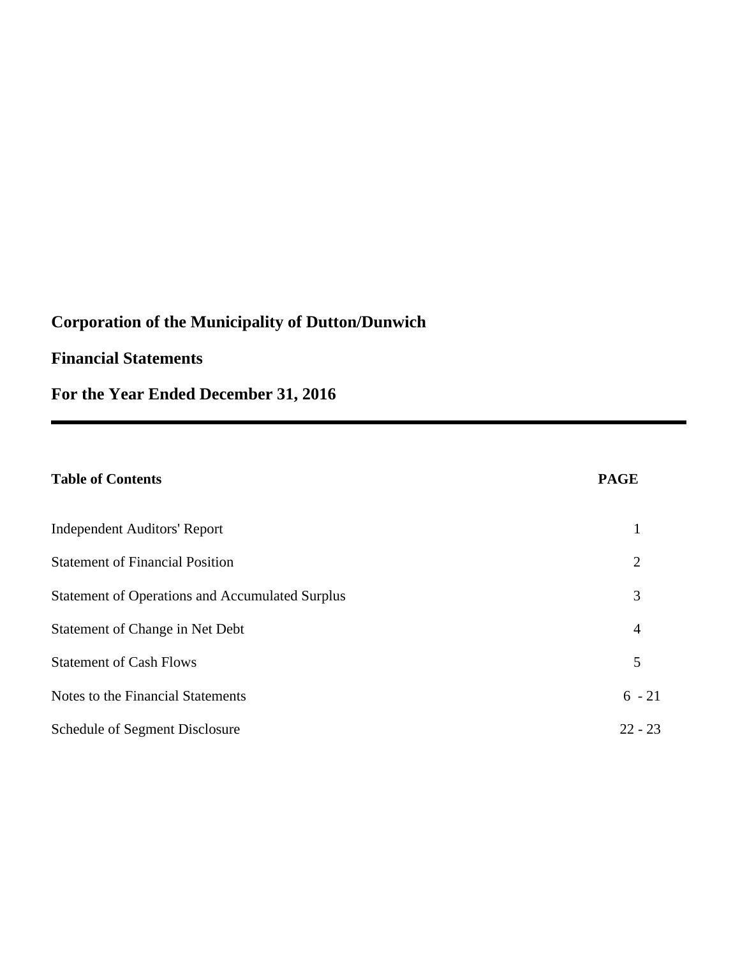### **Financial Statements**

**For the Year Ended December 31, 2016** 

### **Table of Contents PAGE**

| <b>Independent Auditors' Report</b>             |           |
|-------------------------------------------------|-----------|
| <b>Statement of Financial Position</b>          | 2         |
| Statement of Operations and Accumulated Surplus | 3         |
| Statement of Change in Net Debt                 | 4         |
| <b>Statement of Cash Flows</b>                  | 5         |
| Notes to the Financial Statements               | $6 - 21$  |
| Schedule of Segment Disclosure                  | $22 - 23$ |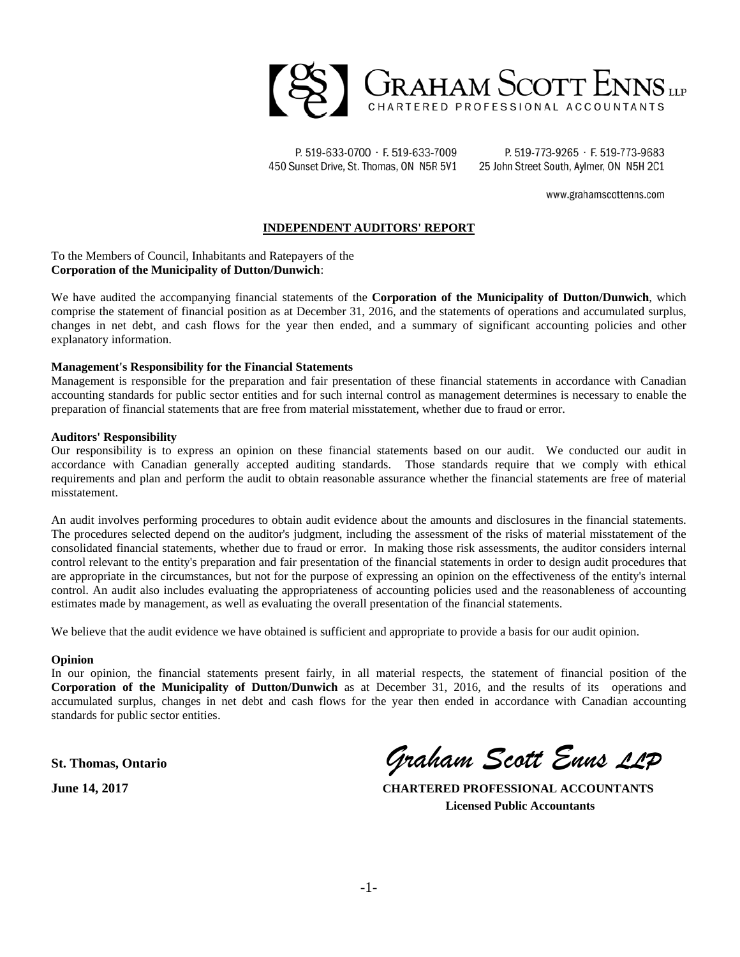

P. 519-633-0700 · F. 519-633-7009 450 Sunset Drive, St. Thomas, ON N5R 5V1

P. 519-773-9265 · F. 519-773-9683 25 John Street South, Aylmer, ON N5H 2C1

www.grahamscottenns.com

#### **INDEPENDENT AUDITORS' REPORT**

#### To the Members of Council, Inhabitants and Ratepayers of the **Corporation of the Municipality of Dutton/Dunwich**:

We have audited the accompanying financial statements of the **Corporation of the Municipality of Dutton/Dunwich**, which comprise the statement of financial position as at December 31, 2016, and the statements of operations and accumulated surplus, changes in net debt, and cash flows for the year then ended, and a summary of significant accounting policies and other explanatory information.

#### **Management's Responsibility for the Financial Statements**

Management is responsible for the preparation and fair presentation of these financial statements in accordance with Canadian accounting standards for public sector entities and for such internal control as management determines is necessary to enable the preparation of financial statements that are free from material misstatement, whether due to fraud or error.

#### **Auditors' Responsibility**

Our responsibility is to express an opinion on these financial statements based on our audit. We conducted our audit in accordance with Canadian generally accepted auditing standards. Those standards require that we comply with ethical requirements and plan and perform the audit to obtain reasonable assurance whether the financial statements are free of material misstatement.

 control relevant to the entity's preparation and fair presentation of the financial statements in order to design audit procedures that An audit involves performing procedures to obtain audit evidence about the amounts and disclosures in the financial statements. The procedures selected depend on the auditor's judgment, including the assessment of the risks of material misstatement of the consolidated financial statements, whether due to fraud or error. In making those risk assessments, the auditor considers internal are appropriate in the circumstances, but not for the purpose of expressing an opinion on the effectiveness of the entity's internal control. An audit also includes evaluating the appropriateness of accounting policies used and the reasonableness of accounting estimates made by management, as well as evaluating the overall presentation of the financial statements.

We believe that the audit evidence we have obtained is sufficient and appropriate to provide a basis for our audit opinion.

#### **Opinion**

 In our opinion, the financial statements present fairly, in all material respects, the statement of financial position of the **Corporation of the Municipality of Dutton/Dunwich** as at December 31, 2016, and the results of its operations and accumulated surplus, changes in net debt and cash flows for the year then ended in accordance with Canadian accounting standards for public sector entities.

**St. Thomas, Ontario** *Graham Scott Enns LLP* 

**June 14, 2017** CHARTERED PROFESSIONAL ACCOUNTANTS **Licensed Public Accountants**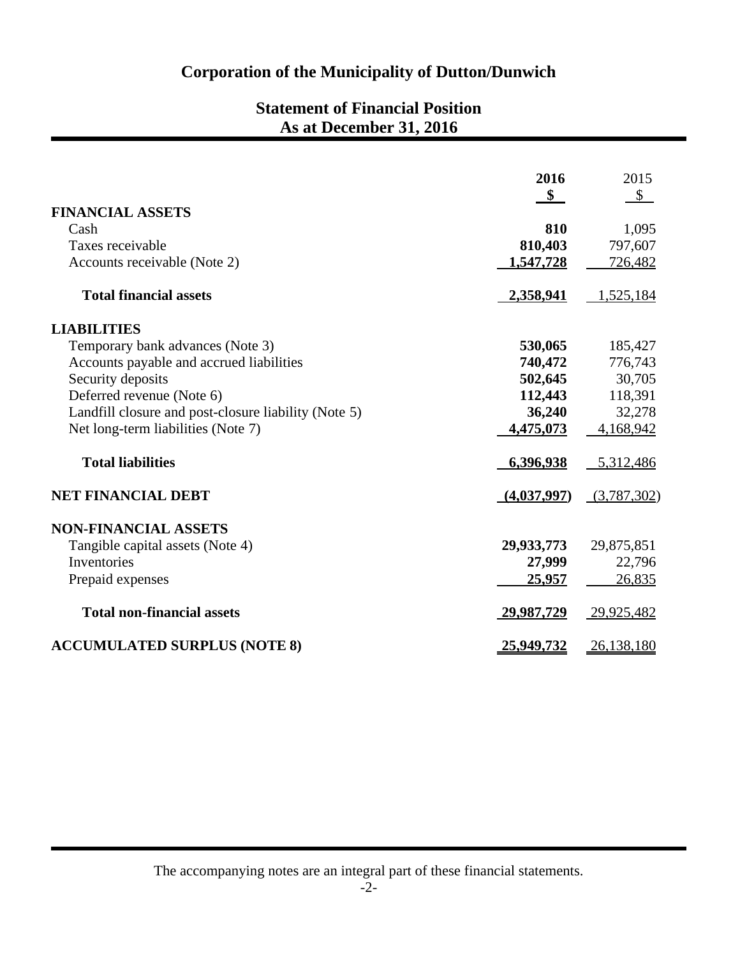**Statement of Financial Position As at December 31, 2016** 

|                                                      | 2016                 | 2015              |
|------------------------------------------------------|----------------------|-------------------|
| <b>FINANCIAL ASSETS</b>                              | $\sqrt{\frac{1}{2}}$ | $\mathcal{S}$     |
| Cash                                                 | 810                  |                   |
| Taxes receivable                                     | 810,403              | 1,095             |
|                                                      |                      | 797,607           |
| Accounts receivable (Note 2)                         | 1,547,728            | <u>726,482</u>    |
| <b>Total financial assets</b>                        | 2,358,941            | 1,525,184         |
| <b>LIABILITIES</b>                                   |                      |                   |
| Temporary bank advances (Note 3)                     | 530,065              | 185,427           |
| Accounts payable and accrued liabilities             | 740,472              | 776,743           |
| Security deposits                                    | 502,645              | 30,705            |
| Deferred revenue (Note 6)                            | 112,443              | 118,391           |
| Landfill closure and post-closure liability (Note 5) | 36,240               | 32,278            |
| Net long-term liabilities (Note 7)                   | 4,475,073            | 4,168,942         |
| <b>Total liabilities</b>                             | 6,396,938            | $-5,312,486$      |
| <b>NET FINANCIAL DEBT</b>                            | (4,037,997)          | (3,787,302)       |
| <b>NON-FINANCIAL ASSETS</b>                          |                      |                   |
| Tangible capital assets (Note 4)                     | 29,933,773           | 29,875,851        |
| Inventories                                          | 27,999               | 22,796            |
| Prepaid expenses                                     | 25,957               | 26,835            |
| <b>Total non-financial assets</b>                    | 29,987,729           | 29,925,482        |
| <b>ACCUMULATED SURPLUS (NOTE 8)</b>                  | <u>25,949,732</u>    | <u>26,138,180</u> |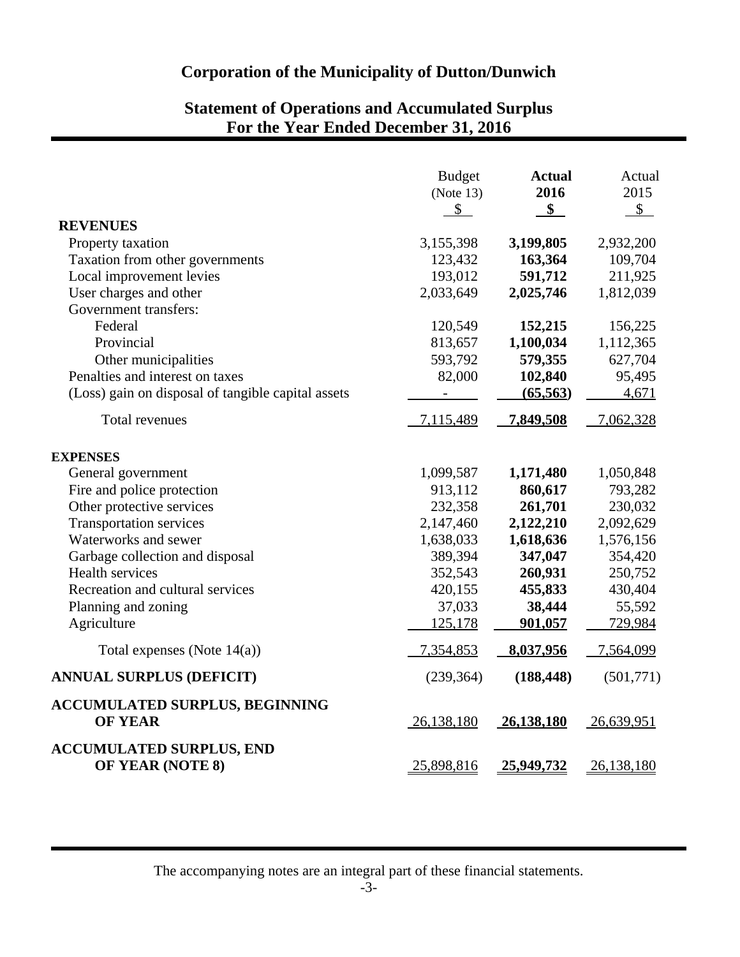### **Statement of Operations and Accumulated Surplus For the Year Ended December 31, 2016**

|                                                    | <b>Budget</b>  | <b>Actual</b>     | Actual        |
|----------------------------------------------------|----------------|-------------------|---------------|
|                                                    | (Note 13)      | 2016              | 2015          |
|                                                    | $\mathbb{S}$   | $\frac{1}{2}$     | $\frac{1}{2}$ |
| <b>REVENUES</b>                                    |                |                   |               |
| Property taxation                                  | 3,155,398      | 3,199,805         | 2,932,200     |
| Taxation from other governments                    | 123,432        | 163,364           | 109,704       |
| Local improvement levies                           | 193,012        | 591,712           | 211,925       |
| User charges and other                             | 2,033,649      | 2,025,746         | 1,812,039     |
| Government transfers:                              |                |                   |               |
| Federal                                            | 120,549        | 152,215           | 156,225       |
| Provincial                                         | 813,657        | 1,100,034         | 1,112,365     |
| Other municipalities                               | 593,792        | 579,355           | 627,704       |
| Penalties and interest on taxes                    | 82,000         | 102,840           | 95,495        |
| (Loss) gain on disposal of tangible capital assets | $\blacksquare$ | (65,563)          | 4,671         |
|                                                    |                |                   |               |
| Total revenues                                     | 7,115,489      | 7,849,508         | 7,062,328     |
| <b>EXPENSES</b>                                    |                |                   |               |
| General government                                 | 1,099,587      | 1,171,480         | 1,050,848     |
| Fire and police protection                         | 913,112        | 860,617           | 793,282       |
| Other protective services                          | 232,358        | 261,701           | 230,032       |
| Transportation services                            | 2,147,460      | 2,122,210         | 2,092,629     |
| Waterworks and sewer                               | 1,638,033      | 1,618,636         | 1,576,156     |
| Garbage collection and disposal                    | 389,394        | 347,047           | 354,420       |
| <b>Health services</b>                             | 352,543        | 260,931           | 250,752       |
| Recreation and cultural services                   | 420,155        | 455,833           | 430,404       |
| Planning and zoning                                | 37,033         | 38,444            | 55,592        |
| Agriculture                                        | 125,178        | 901,057           | 729,984       |
|                                                    |                |                   |               |
| Total expenses (Note $14(a)$ )                     | 7,354,853      | 8,037,956         | 7,564,099     |
| <b>ANNUAL SURPLUS (DEFICIT)</b>                    | (239, 364)     | (188, 448)        | (501,771)     |
| <b>ACCUMULATED SURPLUS, BEGINNING</b>              |                |                   |               |
| <b>OF YEAR</b>                                     | 26,138,180     | 26,138,180        | 26,639,951    |
| <b>ACCUMULATED SURPLUS, END</b>                    |                |                   |               |
| OF YEAR (NOTE 8)                                   | 25,898,816     | <u>25,949,732</u> | 26,138,180    |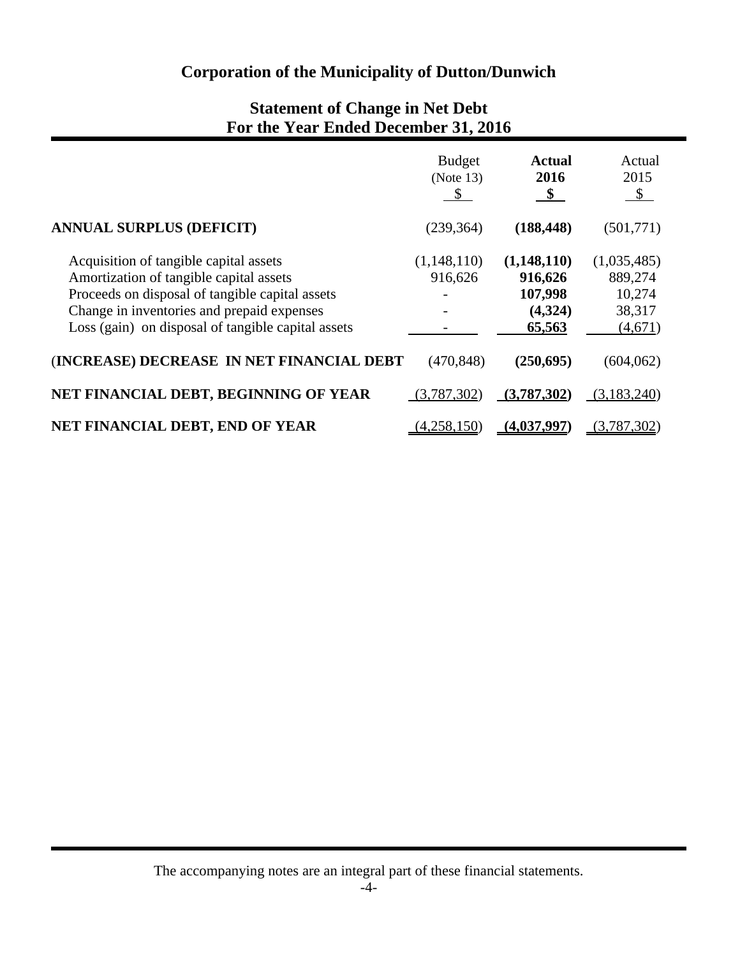### **Statement of Change in Net Debt For the Year Ended December 31, 2016**

|                                                                                                                                                                                                                                          | <b>Budget</b><br>(Note 13)<br>$\mathcal{S}$ | <b>Actual</b><br>2016<br>$\sqrt{3}$                    | Actual<br>2015<br>$\mathbf{\underline{\$}}$           |
|------------------------------------------------------------------------------------------------------------------------------------------------------------------------------------------------------------------------------------------|---------------------------------------------|--------------------------------------------------------|-------------------------------------------------------|
| <b>ANNUAL SURPLUS (DEFICIT)</b>                                                                                                                                                                                                          | (239, 364)                                  | (188, 448)                                             | (501,771)                                             |
| Acquisition of tangible capital assets<br>Amortization of tangible capital assets<br>Proceeds on disposal of tangible capital assets<br>Change in inventories and prepaid expenses<br>Loss (gain) on disposal of tangible capital assets | (1,148,110)<br>916,626                      | (1,148,110)<br>916,626<br>107,998<br>(4,324)<br>65,563 | (1,035,485)<br>889,274<br>10,274<br>38,317<br>(4,671) |
| (INCREASE) DECREASE IN NET FINANCIAL DEBT                                                                                                                                                                                                | (470, 848)                                  | (250, 695)                                             | (604, 062)                                            |
| NET FINANCIAL DEBT, BEGINNING OF YEAR                                                                                                                                                                                                    | (3,787,302)                                 | (3,787,302)                                            | (3,183,240)                                           |
| NET FINANCIAL DEBT, END OF YEAR                                                                                                                                                                                                          | (4,258,150)                                 | (4,037,997)                                            | (3,787,302)                                           |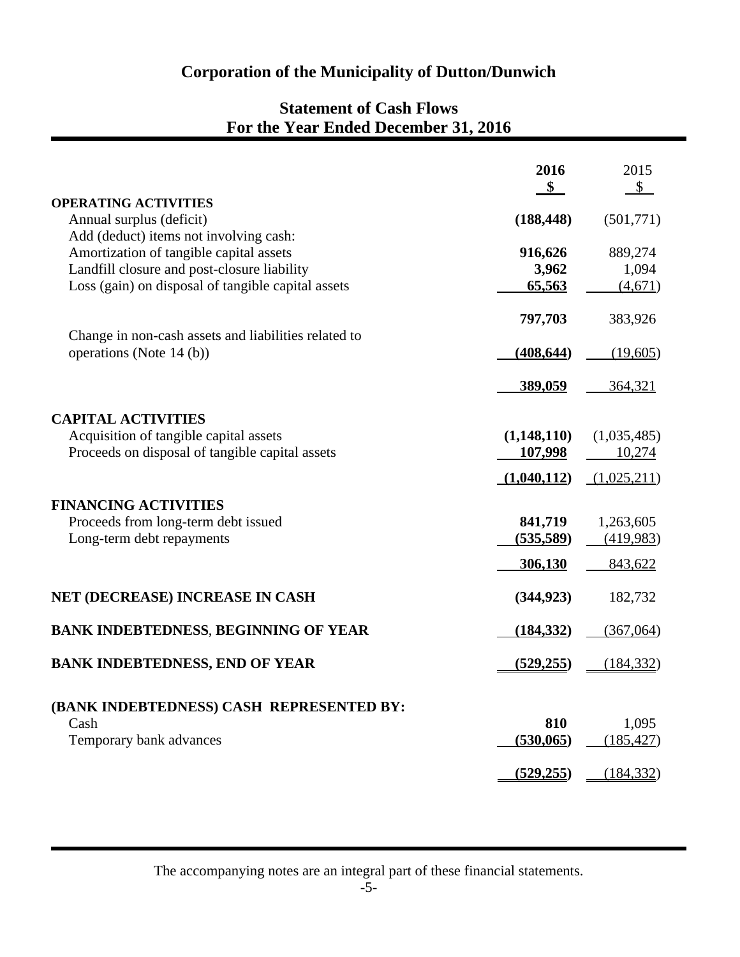### **Statement of Cash Flows For the Year Ended December 31, 2016**

|                                                                    | 2016          | 2015          |
|--------------------------------------------------------------------|---------------|---------------|
| <b>OPERATING ACTIVITIES</b>                                        | $\mathbf{\$}$ | $\mathcal{S}$ |
| Annual surplus (deficit)<br>Add (deduct) items not involving cash: | (188, 448)    | (501,771)     |
| Amortization of tangible capital assets                            | 916,626       | 889,274       |
| Landfill closure and post-closure liability                        | 3,962         | 1,094         |
| Loss (gain) on disposal of tangible capital assets                 | 65,563        | (4,671)       |
|                                                                    |               |               |
|                                                                    | 797,703       | 383,926       |
| Change in non-cash assets and liabilities related to               |               |               |
| operations (Note 14 (b))                                           | (408, 644)    | (19,605)      |
|                                                                    |               |               |
|                                                                    | 389,059       | 364,321       |
|                                                                    |               |               |
| <b>CAPITAL ACTIVITIES</b>                                          |               |               |
| Acquisition of tangible capital assets                             | (1,148,110)   | (1,035,485)   |
| Proceeds on disposal of tangible capital assets                    | 107,998       | 10,274        |
|                                                                    | (1,040,112)   | (1,025,211)   |
|                                                                    |               |               |
| <b>FINANCING ACTIVITIES</b>                                        |               |               |
| Proceeds from long-term debt issued                                | 841,719       | 1,263,605     |
| Long-term debt repayments                                          | (535,589)     | (419,983)     |
|                                                                    | 306,130       | 843,622       |
|                                                                    |               |               |
| NET (DECREASE) INCREASE IN CASH                                    | (344, 923)    | 182,732       |
|                                                                    |               |               |
| <b>BANK INDEBTEDNESS, BEGINNING OF YEAR</b>                        | (184, 332)    | (367,064)     |
|                                                                    |               |               |
| <b>BANK INDEBTEDNESS, END OF YEAR</b>                              | (529, 255)    | (184, 332)    |
|                                                                    |               |               |
| (BANK INDEBTEDNESS) CASH REPRESENTED BY:                           |               |               |
| Cash                                                               | 810           | 1,095         |
| Temporary bank advances                                            | (530, 065)    | (185, 427)    |
|                                                                    |               |               |
|                                                                    | (529, 255)    | (184, 332)    |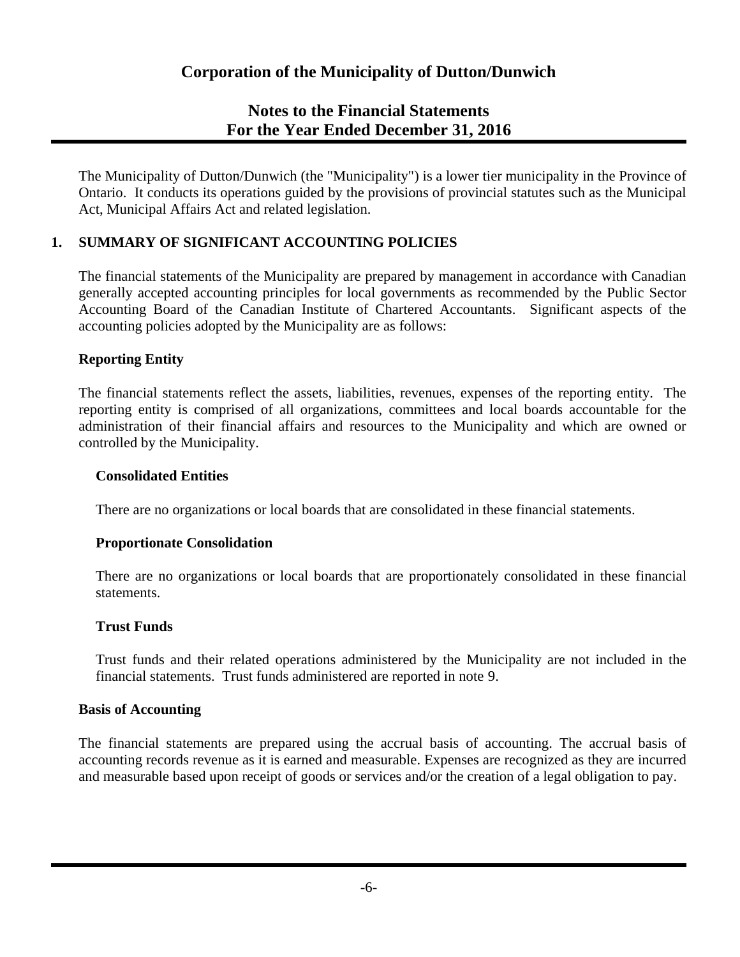The Municipality of Dutton/Dunwich (the "Municipality") is a lower tier municipality in the Province of Ontario. It conducts its operations guided by the provisions of provincial statutes such as the Municipal Act, Municipal Affairs Act and related legislation.

#### **1. SUMMARY OF SIGNIFICANT ACCOUNTING POLICIES**

The financial statements of the Municipality are prepared by management in accordance with Canadian generally accepted accounting principles for local governments as recommended by the Public Sector Accounting Board of the Canadian Institute of Chartered Accountants. Significant aspects of the accounting policies adopted by the Municipality are as follows:

#### **Reporting Entity**

The financial statements reflect the assets, liabilities, revenues, expenses of the reporting entity. The reporting entity is comprised of all organizations, committees and local boards accountable for the administration of their financial affairs and resources to the Municipality and which are owned or controlled by the Municipality.

#### **Consolidated Entities**

There are no organizations or local boards that are consolidated in these financial statements.

#### **Proportionate Consolidation**

There are no organizations or local boards that are proportionately consolidated in these financial statements.

#### **Trust Funds**

Trust funds and their related operations administered by the Municipality are not included in the financial statements. Trust funds administered are reported in note 9.

#### **Basis of Accounting**

The financial statements are prepared using the accrual basis of accounting. The accrual basis of accounting records revenue as it is earned and measurable. Expenses are recognized as they are incurred and measurable based upon receipt of goods or services and/or the creation of a legal obligation to pay.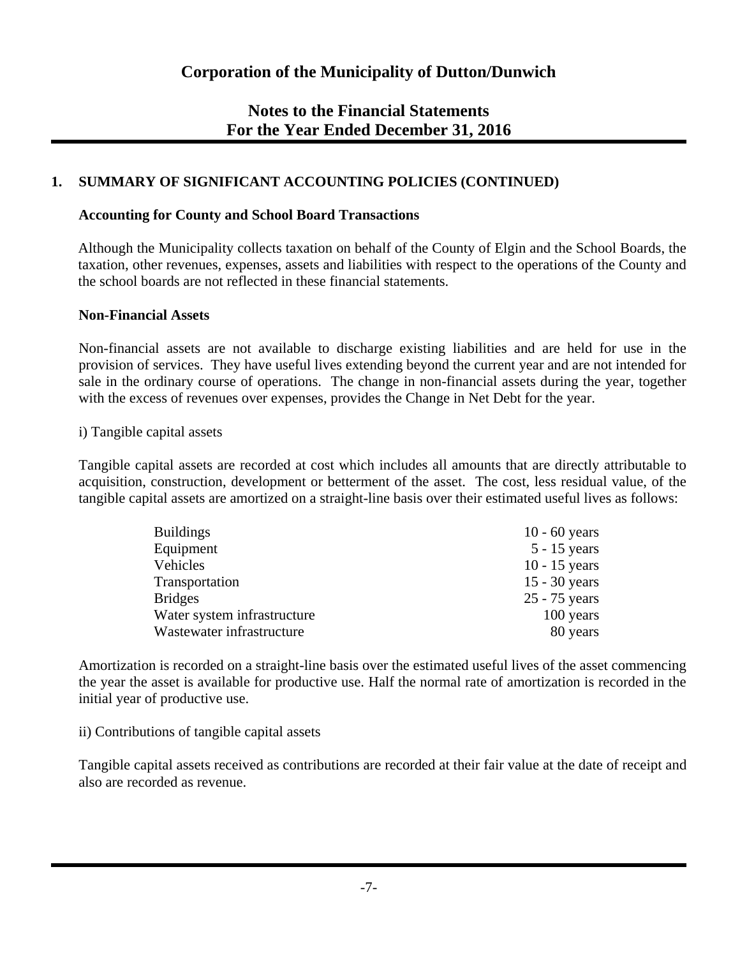### **1. SUMMARY OF SIGNIFICANT ACCOUNTING POLICIES (CONTINUED)**

#### **Accounting for County and School Board Transactions**

Although the Municipality collects taxation on behalf of the County of Elgin and the School Boards, the taxation, other revenues, expenses, assets and liabilities with respect to the operations of the County and the school boards are not reflected in these financial statements.

#### **Non-Financial Assets**

Non-financial assets are not available to discharge existing liabilities and are held for use in the provision of services. They have useful lives extending beyond the current year and are not intended for sale in the ordinary course of operations. The change in non-financial assets during the year, together with the excess of revenues over expenses, provides the Change in Net Debt for the year.

#### i) Tangible capital assets

Tangible capital assets are recorded at cost which includes all amounts that are directly attributable to acquisition, construction, development or betterment of the asset. The cost, less residual value, of the tangible capital assets are amortized on a straight-line basis over their estimated useful lives as follows:

| <b>Buildings</b>            | $10 - 60$ years |
|-----------------------------|-----------------|
| Equipment                   | $5 - 15$ years  |
| Vehicles                    | $10 - 15$ years |
| Transportation              | $15 - 30$ years |
| <b>Bridges</b>              | 25 - 75 years   |
| Water system infrastructure | 100 years       |
| Wastewater infrastructure   | 80 years        |

Amortization is recorded on a straight-line basis over the estimated useful lives of the asset commencing the year the asset is available for productive use. Half the normal rate of amortization is recorded in the initial year of productive use.

#### ii) Contributions of tangible capital assets

Tangible capital assets received as contributions are recorded at their fair value at the date of receipt and also are recorded as revenue.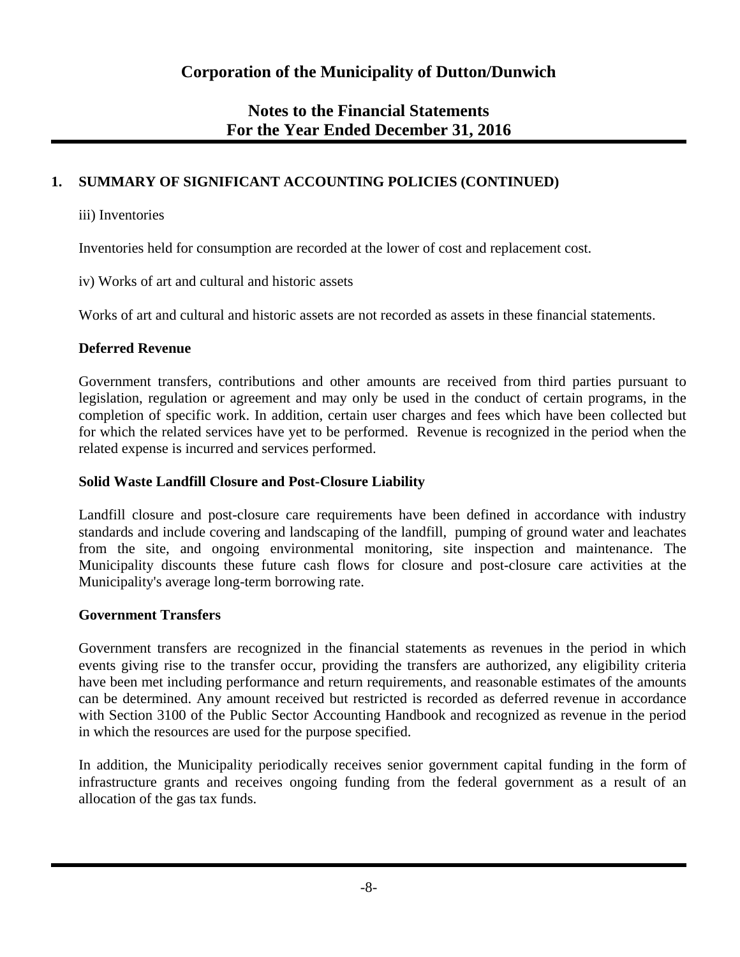### **1. SUMMARY OF SIGNIFICANT ACCOUNTING POLICIES (CONTINUED)**

#### iii) Inventories

Inventories held for consumption are recorded at the lower of cost and replacement cost.

iv) Works of art and cultural and historic assets

Works of art and cultural and historic assets are not recorded as assets in these financial statements.

#### **Deferred Revenue**

Government transfers, contributions and other amounts are received from third parties pursuant to legislation, regulation or agreement and may only be used in the conduct of certain programs, in the completion of specific work. In addition, certain user charges and fees which have been collected but for which the related services have yet to be performed. Revenue is recognized in the period when the related expense is incurred and services performed.

#### **Solid Waste Landfill Closure and Post-Closure Liability**

Landfill closure and post-closure care requirements have been defined in accordance with industry standards and include covering and landscaping of the landfill, pumping of ground water and leachates from the site, and ongoing environmental monitoring, site inspection and maintenance. The Municipality discounts these future cash flows for closure and post-closure care activities at the Municipality's average long-term borrowing rate.

#### **Government Transfers**

Government transfers are recognized in the financial statements as revenues in the period in which events giving rise to the transfer occur, providing the transfers are authorized, any eligibility criteria have been met including performance and return requirements, and reasonable estimates of the amounts can be determined. Any amount received but restricted is recorded as deferred revenue in accordance with Section 3100 of the Public Sector Accounting Handbook and recognized as revenue in the period in which the resources are used for the purpose specified.

In addition, the Municipality periodically receives senior government capital funding in the form of infrastructure grants and receives ongoing funding from the federal government as a result of an allocation of the gas tax funds.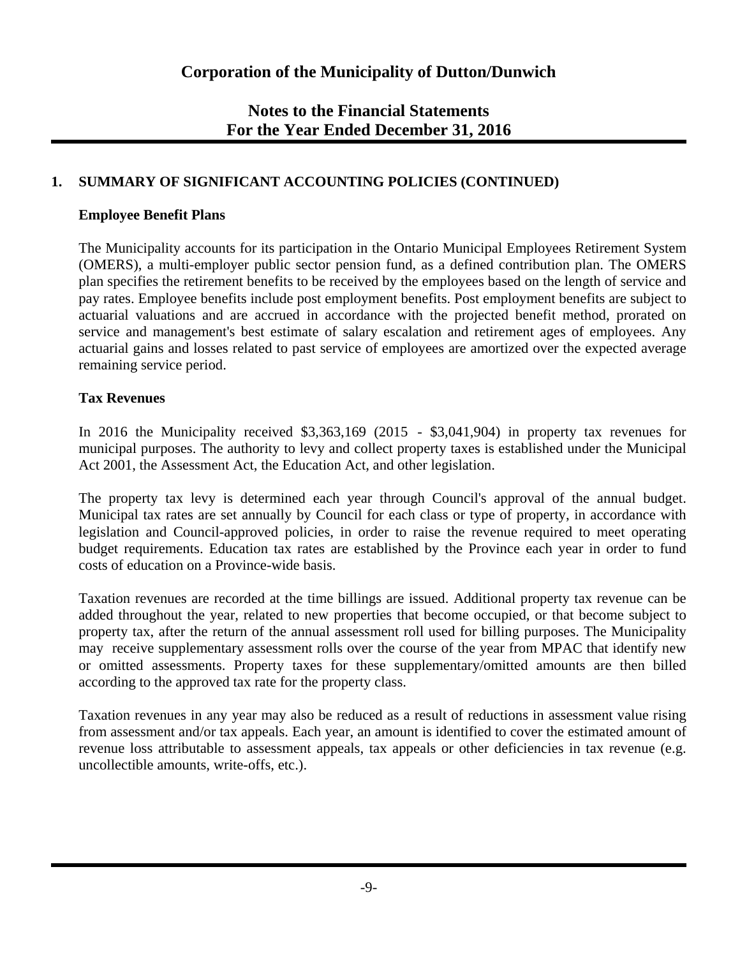### **1. SUMMARY OF SIGNIFICANT ACCOUNTING POLICIES (CONTINUED)**

#### **Employee Benefit Plans**

The Municipality accounts for its participation in the Ontario Municipal Employees Retirement System (OMERS), a multi-employer public sector pension fund, as a defined contribution plan. The OMERS plan specifies the retirement benefits to be received by the employees based on the length of service and pay rates. Employee benefits include post employment benefits. Post employment benefits are subject to actuarial valuations and are accrued in accordance with the projected benefit method, prorated on service and management's best estimate of salary escalation and retirement ages of employees. Any actuarial gains and losses related to past service of employees are amortized over the expected average remaining service period.

#### **Tax Revenues**

In 2016 the Municipality received \$3,363,169 (2015 - \$3,041,904) in property tax revenues for municipal purposes. The authority to levy and collect property taxes is established under the Municipal Act 2001, the Assessment Act, the Education Act, and other legislation.

The property tax levy is determined each year through Council's approval of the annual budget. Municipal tax rates are set annually by Council for each class or type of property, in accordance with legislation and Council-approved policies, in order to raise the revenue required to meet operating budget requirements. Education tax rates are established by the Province each year in order to fund costs of education on a Province-wide basis.

Taxation revenues are recorded at the time billings are issued. Additional property tax revenue can be added throughout the year, related to new properties that become occupied, or that become subject to property tax, after the return of the annual assessment roll used for billing purposes. The Municipality may receive supplementary assessment rolls over the course of the year from MPAC that identify new or omitted assessments. Property taxes for these supplementary/omitted amounts are then billed according to the approved tax rate for the property class.

Taxation revenues in any year may also be reduced as a result of reductions in assessment value rising from assessment and/or tax appeals. Each year, an amount is identified to cover the estimated amount of revenue loss attributable to assessment appeals, tax appeals or other deficiencies in tax revenue (e.g. uncollectible amounts, write-offs, etc.).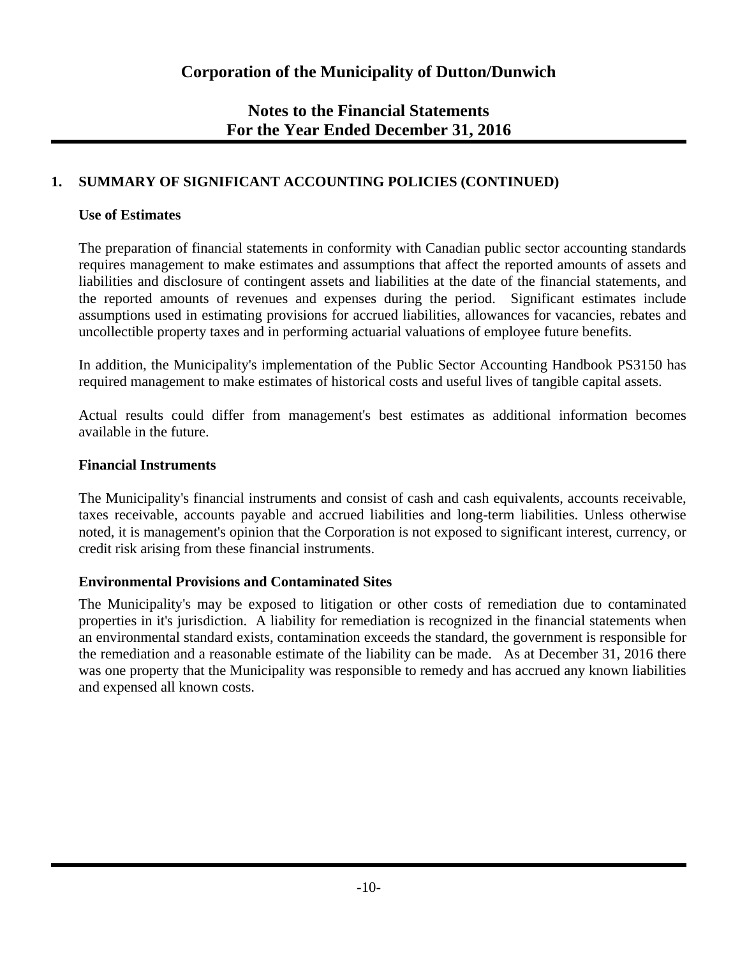### **1. SUMMARY OF SIGNIFICANT ACCOUNTING POLICIES (CONTINUED)**

#### **Use of Estimates**

The preparation of financial statements in conformity with Canadian public sector accounting standards requires management to make estimates and assumptions that affect the reported amounts of assets and liabilities and disclosure of contingent assets and liabilities at the date of the financial statements, and the reported amounts of revenues and expenses during the period. Significant estimates include assumptions used in estimating provisions for accrued liabilities, allowances for vacancies, rebates and uncollectible property taxes and in performing actuarial valuations of employee future benefits.

In addition, the Municipality's implementation of the Public Sector Accounting Handbook PS3150 has required management to make estimates of historical costs and useful lives of tangible capital assets.

Actual results could differ from management's best estimates as additional information becomes available in the future.

#### **Financial Instruments**

The Municipality's financial instruments and consist of cash and cash equivalents, accounts receivable, taxes receivable, accounts payable and accrued liabilities and long-term liabilities. Unless otherwise noted, it is management's opinion that the Corporation is not exposed to significant interest, currency, or credit risk arising from these financial instruments.

#### **Environmental Provisions and Contaminated Sites**

The Municipality's may be exposed to litigation or other costs of remediation due to contaminated properties in it's jurisdiction. A liability for remediation is recognized in the financial statements when an environmental standard exists, contamination exceeds the standard, the government is responsible for the remediation and a reasonable estimate of the liability can be made. As at December 31, 2016 there was one property that the Municipality was responsible to remedy and has accrued any known liabilities and expensed all known costs.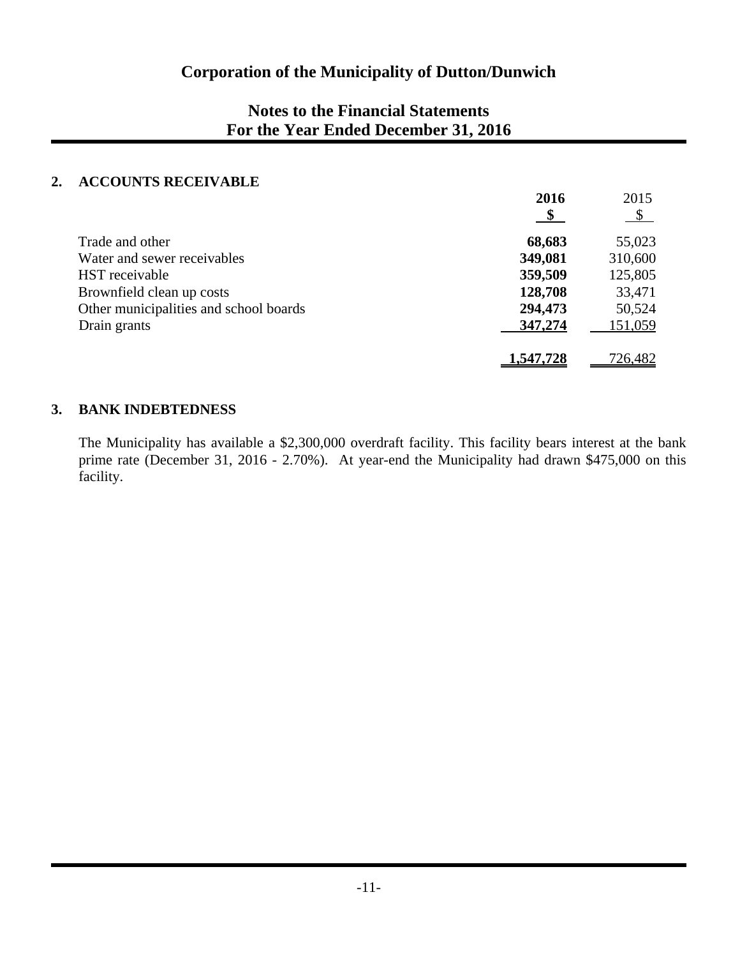### **2. ACCOUNTS RECEIVABLE**

|                                                | 2016              | 2015              |
|------------------------------------------------|-------------------|-------------------|
|                                                |                   | $\mathcal{S}$     |
| Trade and other<br>Water and sewer receivables | 68,683<br>349,081 | 55,023<br>310,600 |
| HST receivable                                 | 359,509           | 125,805           |
| Brownfield clean up costs                      | 128,708           | 33,471            |
| Other municipalities and school boards         | 294,473           | 50,524            |
| Drain grants                                   | 347,274           | 151,059           |
|                                                | 1,547,728         | 726,482           |

#### **3. BANK INDEBTEDNESS**

The Municipality has available a \$2,300,000 overdraft facility. This facility bears interest at the bank prime rate (December 31, 2016 - 2.70%). At year-end the Municipality had drawn \$475,000 on this facility.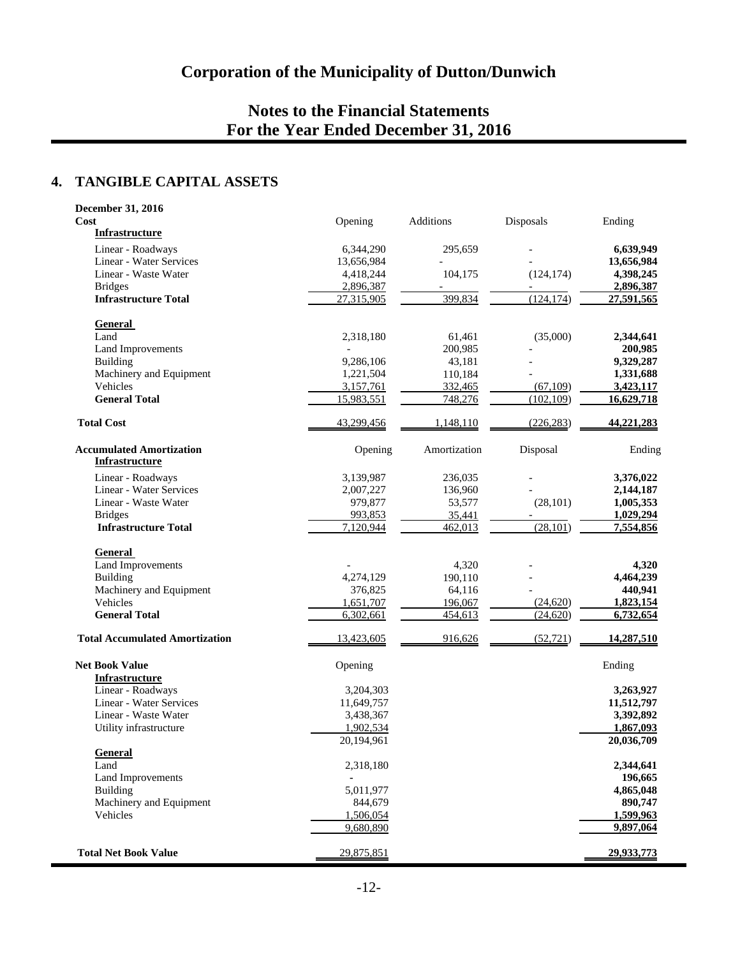### **4. TANGIBLE CAPITAL ASSETS**

| December 31, 2016                                        |                        |              |            |                         |
|----------------------------------------------------------|------------------------|--------------|------------|-------------------------|
| Cost<br><b>Infrastructure</b>                            | Opening                | Additions    | Disposals  | Ending                  |
| Linear - Roadways                                        | 6,344,290              | 295,659      |            |                         |
| Linear - Water Services                                  | 13,656,984             |              |            | 6,639,949<br>13,656,984 |
| Linear - Waste Water                                     | 4,418,244              | 104,175      | (124, 174) | 4,398,245               |
| <b>Bridges</b>                                           | 2,896,387              |              |            | 2,896,387               |
| <b>Infrastructure Total</b>                              | 27,315,905             | 399,834      | (124, 174) | 27,591,565              |
| General                                                  |                        |              |            |                         |
| Land                                                     | 2,318,180              | 61,461       | (35,000)   | 2,344,641               |
| Land Improvements                                        |                        | 200,985      |            | 200,985                 |
| <b>Building</b>                                          | 9,286,106              | 43,181       |            | 9,329,287               |
| Machinery and Equipment                                  | 1,221,504              | 110,184      |            | 1,331,688               |
| Vehicles                                                 | 3,157,761              | 332,465      | (67,109)   | 3,423,117               |
| <b>General Total</b>                                     | 15,983,551             | 748,276      | (102, 109) | 16,629,718              |
| <b>Total Cost</b>                                        | 43,299,456             | 1,148,110    | (226, 283) | 44,221,283              |
| <b>Accumulated Amortization</b><br><b>Infrastructure</b> | Opening                | Amortization | Disposal   | Ending                  |
| Linear - Roadways                                        | 3,139,987              | 236,035      |            | 3,376,022               |
| Linear - Water Services                                  | 2,007,227              | 136,960      |            | 2,144,187               |
| Linear - Waste Water                                     | 979,877                | 53,577       | (28, 101)  | 1,005,353               |
| <b>Bridges</b>                                           | 993,853                | 35,441       |            | 1,029,294               |
| <b>Infrastructure Total</b>                              | 7,120,944              | 462,013      | (28, 101)  | 7,554,856               |
| General                                                  |                        |              |            |                         |
| Land Improvements                                        |                        | 4,320        |            | 4,320                   |
| <b>Building</b>                                          | 4,274,129              | 190,110      |            | 4,464,239               |
| Machinery and Equipment                                  | 376,825                | 64,116       |            | 440,941                 |
| Vehicles                                                 | 1,651,707              | 196,067      | (24, 620)  | 1,823,154               |
| <b>General Total</b>                                     | 6,302,661              | 454,613      | (24, 620)  | 6,732,654               |
| <b>Total Accumulated Amortization</b>                    | 13,423,605             | 916,626      | (52, 721)  | 14,287,510              |
| <b>Net Book Value</b>                                    | Opening                |              |            | Ending                  |
| <b>Infrastructure</b>                                    |                        |              |            |                         |
| Linear - Roadways<br>Linear - Water Services             | 3,204,303              |              |            | 3,263,927               |
| Linear - Waste Water                                     | 11,649,757             |              |            | 11,512,797              |
| Utility infrastructure                                   | 3,438,367<br>1,902,534 |              |            | 3,392,892<br>1,867,093  |
|                                                          | 20,194,961             |              |            | 20,036,709              |
| <b>General</b>                                           |                        |              |            |                         |
| Land                                                     | 2,318,180              |              |            | 2,344,641               |
| <b>Land Improvements</b>                                 |                        |              |            | 196,665                 |
| <b>Building</b>                                          | 5,011,977              |              |            | 4,865,048               |
| Machinery and Equipment                                  | 844,679                |              |            | 890,747                 |
| Vehicles                                                 | 1,506,054              |              |            | 1,599,963               |
|                                                          | 9,680,890              |              |            | 9,897,064               |
| <b>Total Net Book Value</b>                              | 29,875,851             |              |            | 29,933,773              |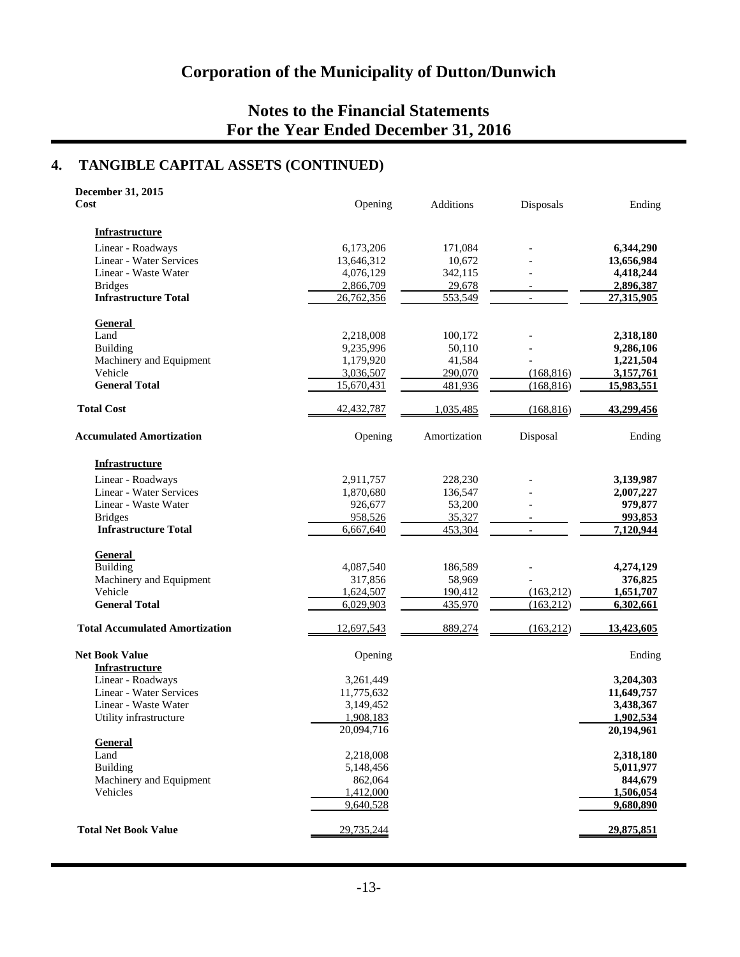### **Notes to the Financial Statements For the Year Ended December 31, 2016**

# **4. TANGIBLE CAPITAL ASSETS (CONTINUED)**

| December 31, 2015                     |              |              |            |            |
|---------------------------------------|--------------|--------------|------------|------------|
| Cost                                  | Opening      | Additions    | Disposals  | Ending     |
| <b>Infrastructure</b>                 |              |              |            |            |
| Linear - Roadways                     | 6,173,206    | 171,084      |            | 6,344,290  |
| Linear - Water Services               | 13,646,312   | 10,672       |            | 13,656,984 |
| Linear - Waste Water                  | 4,076,129    | 342,115      |            | 4,418,244  |
| <b>Bridges</b>                        | 2,866,709    | 29,678       |            | 2,896,387  |
| <b>Infrastructure Total</b>           | 26,762,356   | 553,549      |            | 27,315,905 |
| <b>General</b>                        |              |              |            |            |
| Land                                  | 2,218,008    | 100,172      |            | 2,318,180  |
| <b>Building</b>                       | 9,235,996    | 50,110       |            | 9,286,106  |
| Machinery and Equipment               | 1,179,920    | 41,584       |            | 1,221,504  |
| Vehicle                               | 3,036,507    | 290,070      | (168, 816) | 3,157,761  |
| <b>General Total</b>                  | 15,670,431   | 481,936      | (168, 816) | 15,983,551 |
| <b>Total Cost</b>                     | 42, 432, 787 | 1,035,485    | (168, 816) | 43,299,456 |
| <b>Accumulated Amortization</b>       | Opening      | Amortization | Disposal   | Ending     |
| <b>Infrastructure</b>                 |              |              |            |            |
| Linear - Roadways                     | 2,911,757    | 228,230      |            | 3,139,987  |
| Linear - Water Services               | 1,870,680    | 136,547      |            | 2,007,227  |
| Linear - Waste Water                  | 926,677      | 53,200       |            | 979,877    |
| <b>Bridges</b>                        | 958,526      | 35,327       |            | 993,853    |
| <b>Infrastructure Total</b>           | 6,667,640    | 453,304      |            | 7,120,944  |
| <b>General</b>                        |              |              |            |            |
| <b>Building</b>                       | 4,087,540    | 186,589      |            | 4,274,129  |
| Machinery and Equipment               | 317,856      | 58,969       |            | 376,825    |
| Vehicle                               | 1,624,507    | 190,412      | (163,212)  | 1,651,707  |
| <b>General Total</b>                  | 6,029,903    | 435,970      | (163, 212) | 6,302,661  |
| <b>Total Accumulated Amortization</b> | 12,697,543   | 889,274      | (163,212)  | 13,423,605 |
| <b>Net Book Value</b>                 | Opening      |              |            | Ending     |
| <b>Infrastructure</b>                 |              |              |            |            |
| Linear - Roadways                     | 3,261,449    |              |            | 3,204,303  |
| Linear - Water Services               | 11,775,632   |              |            | 11,649,757 |
| Linear - Waste Water                  | 3,149,452    |              |            | 3,438,367  |
| Utility infrastructure                | 1,908,183    |              |            | 1,902,534  |
|                                       | 20,094,716   |              |            | 20,194,961 |
| General                               |              |              |            |            |
| Land                                  | 2,218,008    |              |            | 2,318,180  |
| <b>Building</b>                       | 5,148,456    |              |            | 5,011,977  |
| Machinery and Equipment               | 862,064      |              |            | 844,679    |
| Vehicles                              | 1,412,000    |              |            | 1,506,054  |
|                                       | 9,640,528    |              |            | 9,680,890  |
| <b>Total Net Book Value</b>           | 29,735,244   |              |            | 29,875,851 |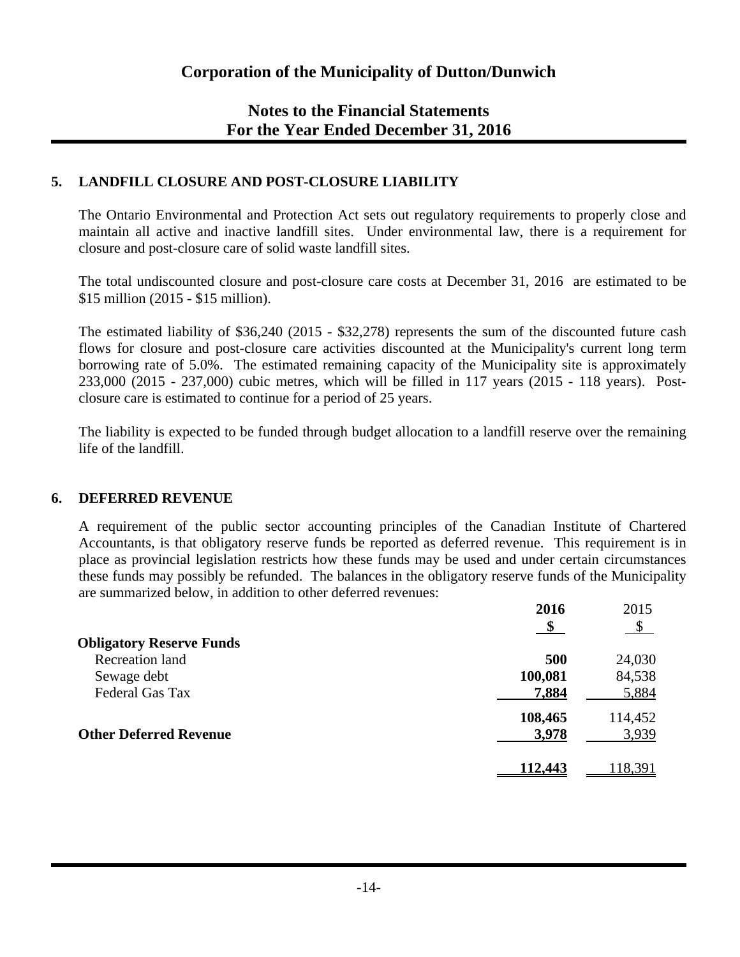### **5. LANDFILL CLOSURE AND POST-CLOSURE LIABILITY**

The Ontario Environmental and Protection Act sets out regulatory requirements to properly close and maintain all active and inactive landfill sites. Under environmental law, there is a requirement for closure and post-closure care of solid waste landfill sites.

The total undiscounted closure and post-closure care costs at December 31, 2016 are estimated to be \$15 million (2015 - \$15 million).

The estimated liability of \$36,240 (2015 - \$32,278) represents the sum of the discounted future cash flows for closure and post-closure care activities discounted at the Municipality's current long term borrowing rate of 5.0%. The estimated remaining capacity of the Municipality site is approximately 233,000 (2015 - 237,000) cubic metres, which will be filled in 117 years (2015 - 118 years). Postclosure care is estimated to continue for a period of 25 years.

The liability is expected to be funded through budget allocation to a landfill reserve over the remaining life of the landfill.

#### **6. DEFERRED REVENUE**

A requirement of the public sector accounting principles of the Canadian Institute of Chartered Accountants, is that obligatory reserve funds be reported as deferred revenue. This requirement is in place as provincial legislation restricts how these funds may be used and under certain circumstances these funds may possibly be refunded. The balances in the obligatory reserve funds of the Municipality are summarized below, in addition to other deferred revenues:

|                                 | 2016    | 2015          |
|---------------------------------|---------|---------------|
|                                 |         | $\mathcal{L}$ |
| <b>Obligatory Reserve Funds</b> |         |               |
| Recreation land                 | 500     | 24,030        |
| Sewage debt                     | 100,081 | 84,538        |
| Federal Gas Tax                 | 7,884   | 5,884         |
|                                 | 108,465 | 114,452       |
| <b>Other Deferred Revenue</b>   | 3,978   | 3,939         |
|                                 | 112,443 | 118,391       |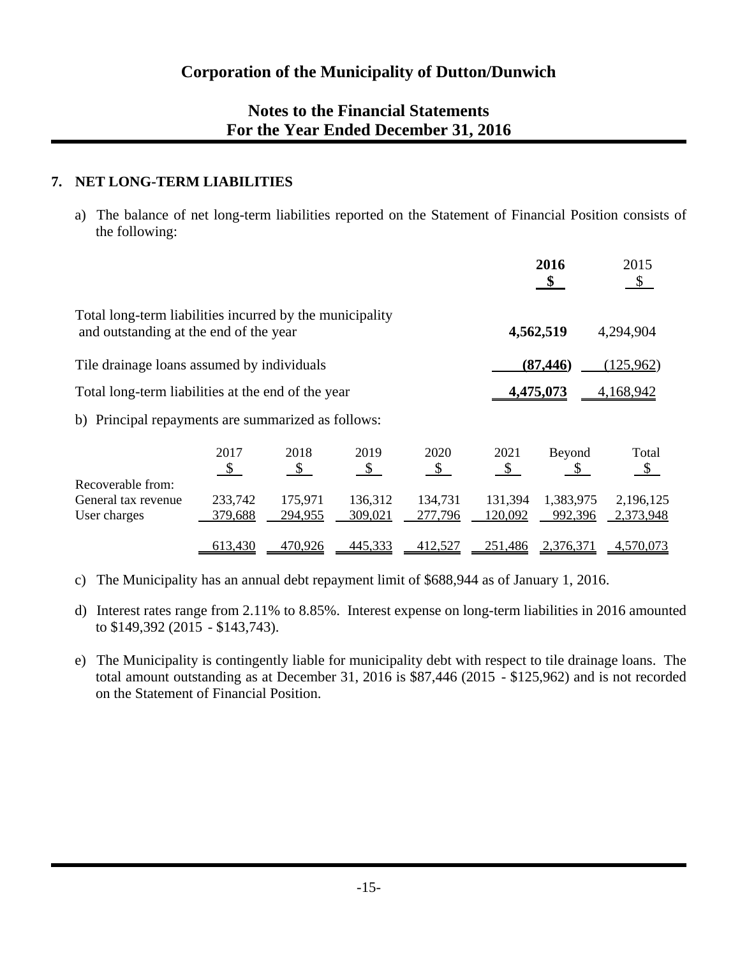#### **7. NET LONG-TERM LIABILITIES**

a) The balance of net long-term liabilities reported on the Statement of Financial Position consists of the following:

|                                                                                                    |                           |                           |                       |                       |                       | 2016<br>\$              | 2015<br>$\mathcal{S}$  |
|----------------------------------------------------------------------------------------------------|---------------------------|---------------------------|-----------------------|-----------------------|-----------------------|-------------------------|------------------------|
| Total long-term liabilities incurred by the municipality<br>and outstanding at the end of the year |                           |                           |                       |                       |                       | 4,562,519               | 4,294,904              |
| Tile drainage loans assumed by individuals                                                         |                           |                           |                       |                       |                       | (87, 446)               | (125,962)              |
| Total long-term liabilities at the end of the year                                                 |                           |                           |                       |                       |                       | 4,475,073               | 4,168,942              |
| b) Principal repayments are summarized as follows:                                                 |                           |                           |                       |                       |                       |                         |                        |
| Recoverable from:                                                                                  | 2017<br>$\mathcal{S}$     | 2018<br>$\mathcal{S}$     | 2019<br>$\mathcal{S}$ | 2020<br>$\mathcal{S}$ | 2021<br>$\mathcal{S}$ | Beyond<br>$\mathcal{S}$ | Total<br>\$            |
| General tax revenue<br>User charges                                                                | 233,742<br><u>379,688</u> | 175,971<br><u>294,955</u> | 136,312<br>309,021    | 134,731<br>277,796    | 131,394<br>120,092    | 1,383,975<br>992,396    | 2,196,125<br>2,373,948 |
|                                                                                                    | 613,430                   | 470,926                   | 445,333               | 412,527               | 251,486               | 2,376,371               | 4,570,073              |

- c) The Municipality has an annual debt repayment limit of \$688,944 as of January 1, 2016.
- d) Interest rates range from 2.11% to 8.85%. Interest expense on long-term liabilities in 2016 amounted to \$149,392 (2015 - \$143,743).
- e) The Municipality is contingently liable for municipality debt with respect to tile drainage loans. The total amount outstanding as at December 31, 2016 is \$87,446 (2015 - \$125,962) and is not recorded on the Statement of Financial Position.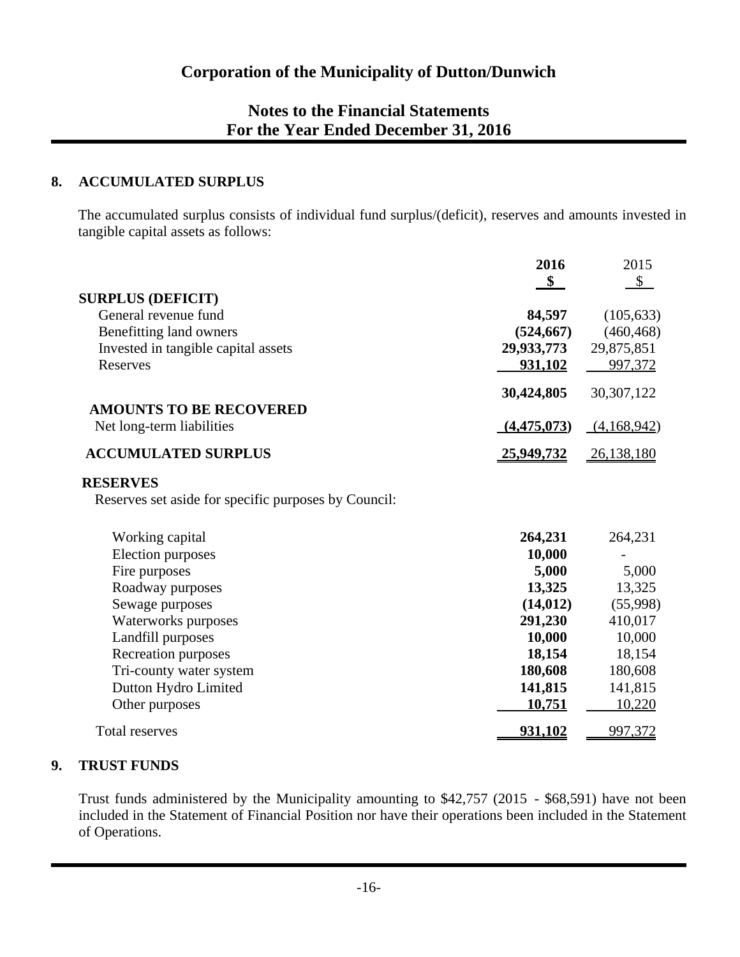### **8. ACCUMULATED SURPLUS**

The accumulated surplus consists of individual fund surplus/(deficit), reserves and amounts invested in tangible capital assets as follows:

|                                                      | 2016        | 2015         |
|------------------------------------------------------|-------------|--------------|
|                                                      | \$          | $\mathbb{S}$ |
| <b>SURPLUS (DEFICIT)</b>                             |             |              |
| General revenue fund                                 | 84,597      | (105, 633)   |
| Benefitting land owners                              | (524, 667)  | (460, 468)   |
| Invested in tangible capital assets                  | 29,933,773  | 29,875,851   |
| Reserves                                             | 931,102     | 997,372      |
|                                                      | 30,424,805  | 30, 307, 122 |
| <b>AMOUNTS TO BE RECOVERED</b>                       |             |              |
| Net long-term liabilities                            | (4,475,073) | (4,168,942)  |
| <b>ACCUMULATED SURPLUS</b>                           | 25,949,732  | 26,138,180   |
| <b>RESERVES</b>                                      |             |              |
| Reserves set aside for specific purposes by Council: |             |              |
| Working capital                                      | 264,231     | 264,231      |
| Election purposes                                    | 10,000      |              |
| Fire purposes                                        | 5,000       | 5,000        |
| Roadway purposes                                     | 13,325      | 13,325       |
| Sewage purposes                                      | (14, 012)   | (55,998)     |
| Waterworks purposes                                  | 291,230     | 410,017      |
| Landfill purposes                                    | 10,000      | 10,000       |
| Recreation purposes                                  | 18,154      | 18,154       |
| Tri-county water system                              | 180,608     | 180,608      |
| Dutton Hydro Limited                                 | 141,815     | 141,815      |
| Other purposes                                       | 10,751      | 10,220       |
| <b>Total reserves</b>                                | 931,102     | 997,372      |

#### **9. TRUST FUNDS**

Trust funds administered by the Municipality amounting to \$42,757 (2015 - \$68,591) have not been included in the Statement of Financial Position nor have their operations been included in the Statement of Operations.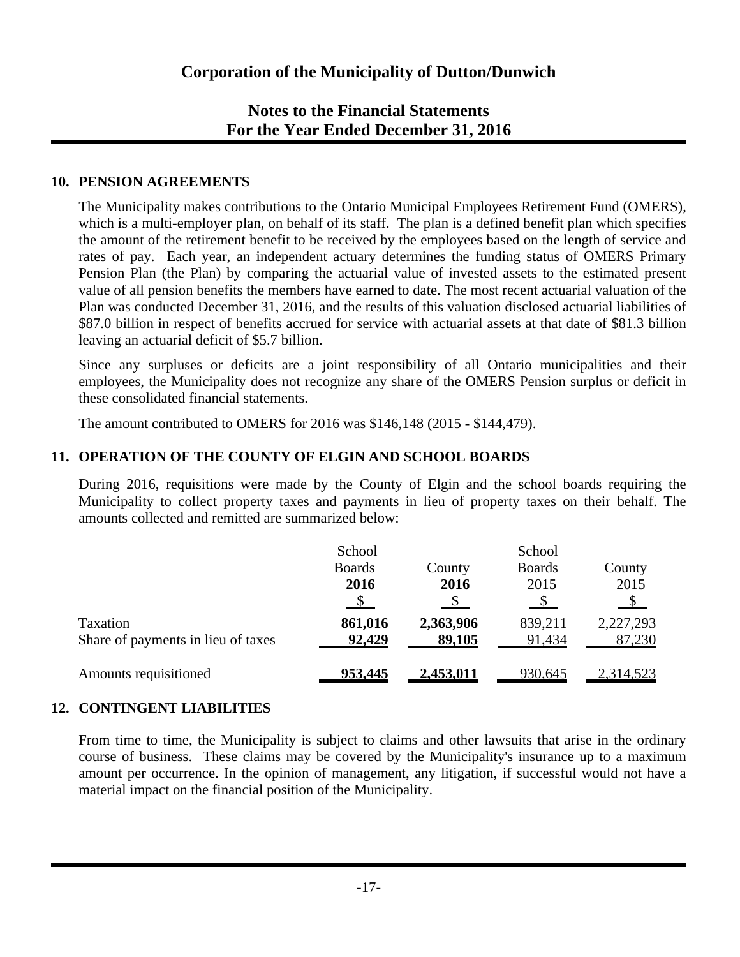#### **10. PENSION AGREEMENTS**

The Municipality makes contributions to the Ontario Municipal Employees Retirement Fund (OMERS), which is a multi-employer plan, on behalf of its staff. The plan is a defined benefit plan which specifies the amount of the retirement benefit to be received by the employees based on the length of service and rates of pay. Each year, an independent actuary determines the funding status of OMERS Primary Pension Plan (the Plan) by comparing the actuarial value of invested assets to the estimated present value of all pension benefits the members have earned to date. The most recent actuarial valuation of the Plan was conducted December 31, 2016, and the results of this valuation disclosed actuarial liabilities of \$87.0 billion in respect of benefits accrued for service with actuarial assets at that date of \$81.3 billion leaving an actuarial deficit of \$5.7 billion.

Since any surpluses or deficits are a joint responsibility of all Ontario municipalities and their employees, the Municipality does not recognize any share of the OMERS Pension surplus or deficit in these consolidated financial statements.

The amount contributed to OMERS for 2016 was \$146,148 (2015 - \$144,479).

#### **11. OPERATION OF THE COUNTY OF ELGIN AND SCHOOL BOARDS**

During 2016, requisitions were made by the County of Elgin and the school boards requiring the Municipality to collect property taxes and payments in lieu of property taxes on their behalf. The amounts collected and remitted are summarized below:

|                                    | School         |                  | School        |                  |  |  |
|------------------------------------|----------------|------------------|---------------|------------------|--|--|
|                                    | <b>Boards</b>  | County           | <b>Boards</b> | County           |  |  |
|                                    | 2016           | 2016             | 2015          | 2015             |  |  |
|                                    |                |                  |               |                  |  |  |
| Taxation                           | 861,016        | 2,363,906        | 839,211       | 2,227,293        |  |  |
| Share of payments in lieu of taxes | 92,429         | 89,105           | 91,434        | 87,230           |  |  |
| Amounts requisitioned              | <u>953,445</u> | <u>2,453,011</u> | 930,645       | <u>2,314,523</u> |  |  |

#### **12. CONTINGENT LIABILITIES**

From time to time, the Municipality is subject to claims and other lawsuits that arise in the ordinary course of business. These claims may be covered by the Municipality's insurance up to a maximum amount per occurrence. In the opinion of management, any litigation, if successful would not have a material impact on the financial position of the Municipality.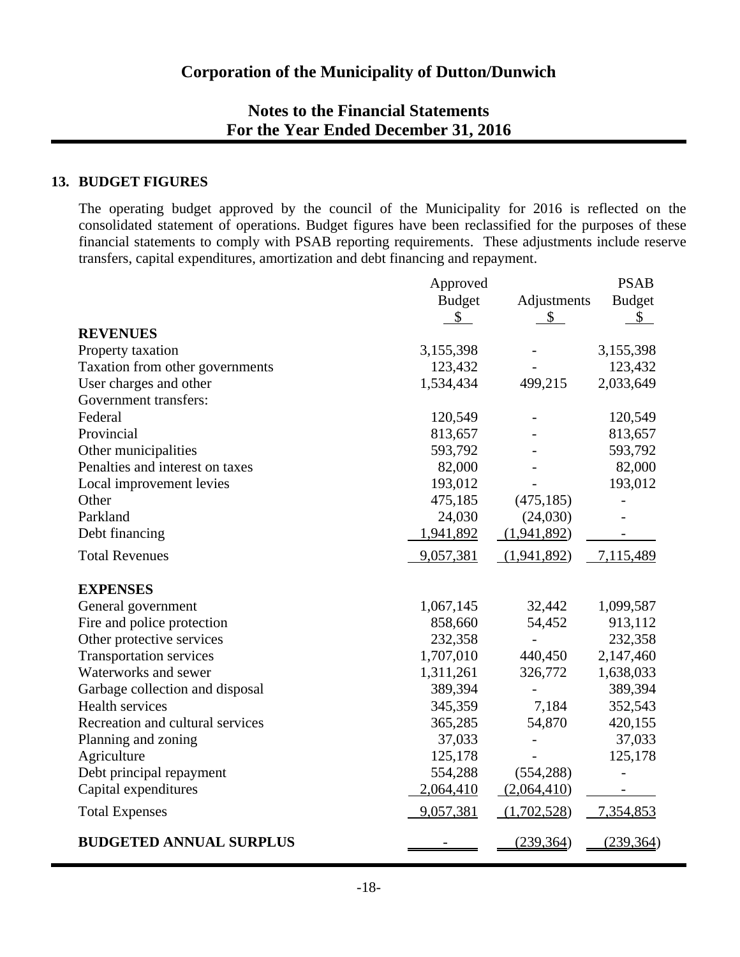#### **13. BUDGET FIGURES**

The operating budget approved by the council of the Municipality for 2016 is reflected on the consolidated statement of operations. Budget figures have been reclassified for the purposes of these financial statements to comply with PSAB reporting requirements. These adjustments include reserve transfers, capital expenditures, amortization and debt financing and repayment.

|                                  | Approved      |              | <b>PSAB</b>   |
|----------------------------------|---------------|--------------|---------------|
|                                  | <b>Budget</b> | Adjustments  | <b>Budget</b> |
|                                  | \$            | $\mathbb{S}$ | \$            |
| <b>REVENUES</b>                  |               |              |               |
| Property taxation                | 3,155,398     |              | 3,155,398     |
| Taxation from other governments  | 123,432       |              | 123,432       |
| User charges and other           | 1,534,434     | 499,215      | 2,033,649     |
| Government transfers:            |               |              |               |
| Federal                          | 120,549       |              | 120,549       |
| Provincial                       | 813,657       |              | 813,657       |
| Other municipalities             | 593,792       |              | 593,792       |
| Penalties and interest on taxes  | 82,000        |              | 82,000        |
| Local improvement levies         | 193,012       |              | 193,012       |
| Other                            | 475,185       | (475, 185)   |               |
| Parkland                         | 24,030        | (24,030)     |               |
| Debt financing                   | 1,941,892     | (1,941,892)  |               |
| <b>Total Revenues</b>            | 9,057,381     | (1,941,892)  | 7,115,489     |
| <b>EXPENSES</b>                  |               |              |               |
| General government               | 1,067,145     | 32,442       | 1,099,587     |
| Fire and police protection       | 858,660       | 54,452       | 913,112       |
| Other protective services        | 232,358       |              | 232,358       |
| <b>Transportation services</b>   | 1,707,010     | 440,450      | 2,147,460     |
| Waterworks and sewer             | 1,311,261     | 326,772      | 1,638,033     |
| Garbage collection and disposal  | 389,394       |              | 389,394       |
| Health services                  | 345,359       | 7,184        | 352,543       |
| Recreation and cultural services | 365,285       | 54,870       | 420,155       |
| Planning and zoning              | 37,033        |              | 37,033        |
| Agriculture                      | 125,178       |              | 125,178       |
| Debt principal repayment         | 554,288       | (554, 288)   |               |
| Capital expenditures             | 2,064,410     | (2,064,410)  |               |
| <b>Total Expenses</b>            | 9,057,381     | (1,702,528)  | 7,354,853     |
| <b>BUDGETED ANNUAL SURPLUS</b>   |               | (239, 364)   | (239, 364)    |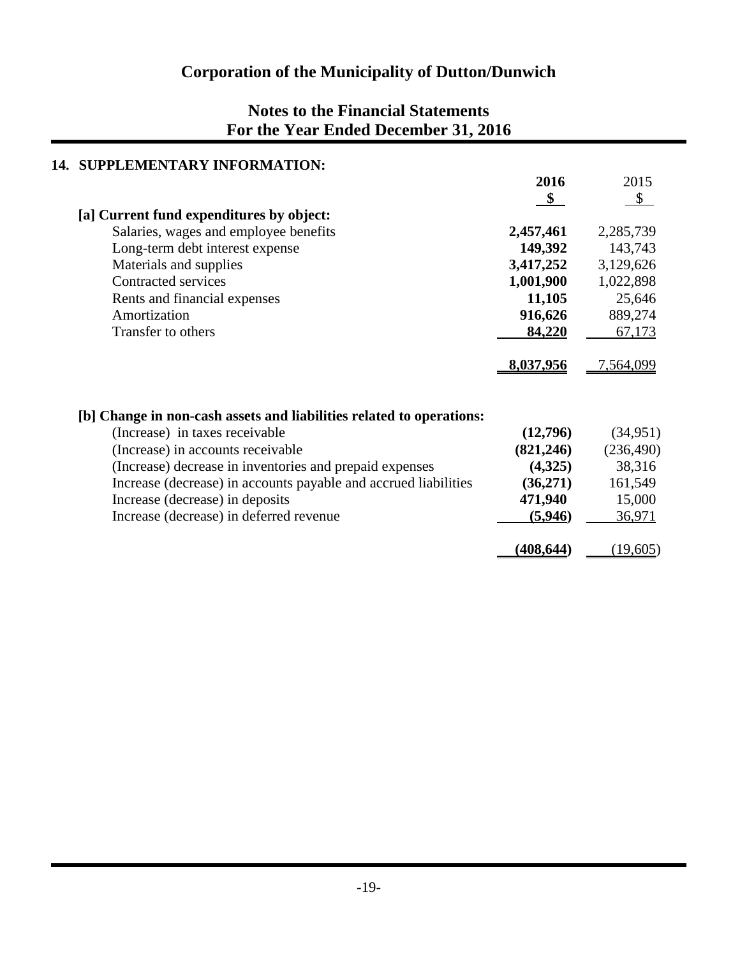| <b>14. SUPPLEMENTARY INFORMATION:</b>                                |                      |              |
|----------------------------------------------------------------------|----------------------|--------------|
|                                                                      | 2016                 | 2015         |
|                                                                      | $\sqrt{\frac{1}{2}}$ | $\mathbb{S}$ |
| [a] Current fund expenditures by object:                             |                      |              |
| Salaries, wages and employee benefits                                | 2,457,461            | 2,285,739    |
| Long-term debt interest expense                                      | 149,392              | 143,743      |
| Materials and supplies                                               | 3,417,252            | 3,129,626    |
| Contracted services                                                  | 1,001,900            | 1,022,898    |
| Rents and financial expenses                                         | 11,105               | 25,646       |
| Amortization                                                         | 916,626              | 889,274      |
| Transfer to others                                                   | 84,220               | 67,173       |
|                                                                      | 8,037,956            | 7,564,099    |
| [b] Change in non-cash assets and liabilities related to operations: |                      |              |
| (Increase) in taxes receivable                                       | (12,796)             | (34, 951)    |
| (Increase) in accounts receivable                                    | (821, 246)           | (236, 490)   |
| (Increase) decrease in inventories and prepaid expenses              | (4,325)              | 38,316       |
| Increase (decrease) in accounts payable and accrued liabilities      | (36,271)             | 161,549      |
| Increase (decrease) in deposits                                      | 471,940              | 15,000       |
| Increase (decrease) in deferred revenue                              | (5,946)              | 36,971       |
|                                                                      | (408, 644)           | (19,605)     |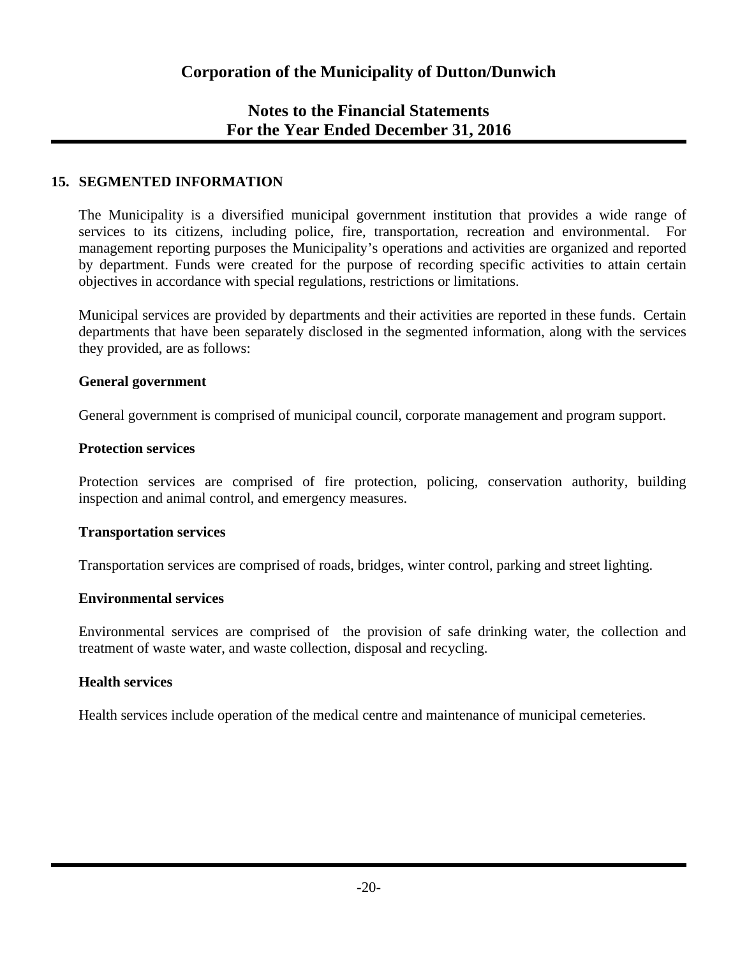#### **15. SEGMENTED INFORMATION**

The Municipality is a diversified municipal government institution that provides a wide range of services to its citizens, including police, fire, transportation, recreation and environmental. For management reporting purposes the Municipality's operations and activities are organized and reported by department. Funds were created for the purpose of recording specific activities to attain certain objectives in accordance with special regulations, restrictions or limitations.

Municipal services are provided by departments and their activities are reported in these funds. Certain departments that have been separately disclosed in the segmented information, along with the services they provided, are as follows:

#### **General government**

General government is comprised of municipal council, corporate management and program support.

#### **Protection services**

Protection services are comprised of fire protection, policing, conservation authority, building inspection and animal control, and emergency measures.

#### **Transportation services**

Transportation services are comprised of roads, bridges, winter control, parking and street lighting.

#### **Environmental services**

Environmental services are comprised of the provision of safe drinking water, the collection and treatment of waste water, and waste collection, disposal and recycling.

#### **Health services**

Health services include operation of the medical centre and maintenance of municipal cemeteries.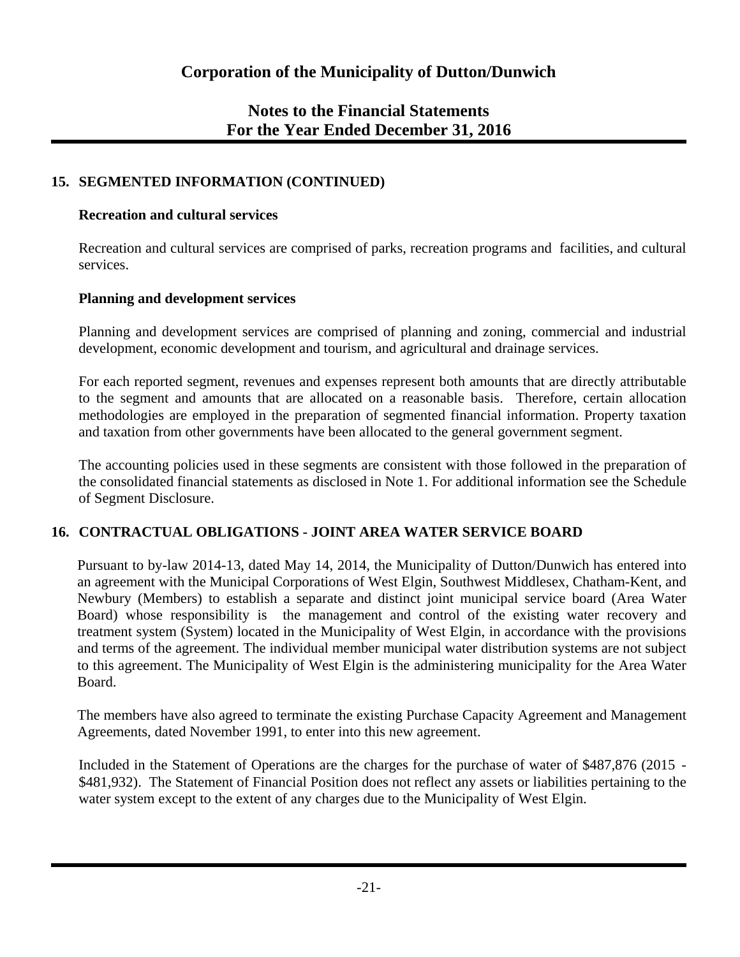#### **15. SEGMENTED INFORMATION (CONTINUED)**

#### **Recreation and cultural services**

Recreation and cultural services are comprised of parks, recreation programs and facilities, and cultural services.

#### **Planning and development services**

Planning and development services are comprised of planning and zoning, commercial and industrial development, economic development and tourism, and agricultural and drainage services.

For each reported segment, revenues and expenses represent both amounts that are directly attributable to the segment and amounts that are allocated on a reasonable basis. Therefore, certain allocation methodologies are employed in the preparation of segmented financial information. Property taxation and taxation from other governments have been allocated to the general government segment.

The accounting policies used in these segments are consistent with those followed in the preparation of the consolidated financial statements as disclosed in Note 1. For additional information see the Schedule of Segment Disclosure.

#### **16. CONTRACTUAL OBLIGATIONS - JOINT AREA WATER SERVICE BOARD**

Pursuant to by-law 2014-13, dated May 14, 2014, the Municipality of Dutton/Dunwich has entered into an agreement with the Municipal Corporations of West Elgin, Southwest Middlesex, Chatham-Kent, and Newbury (Members) to establish a separate and distinct joint municipal service board (Area Water Board) whose responsibility is the management and control of the existing water recovery and treatment system (System) located in the Municipality of West Elgin, in accordance with the provisions and terms of the agreement. The individual member municipal water distribution systems are not subject to this agreement. The Municipality of West Elgin is the administering municipality for the Area Water Board.

The members have also agreed to terminate the existing Purchase Capacity Agreement and Management Agreements, dated November 1991, to enter into this new agreement.

Included in the Statement of Operations are the charges for the purchase of water of \$487,876 (2015 - \$481,932). The Statement of Financial Position does not reflect any assets or liabilities pertaining to the water system except to the extent of any charges due to the Municipality of West Elgin.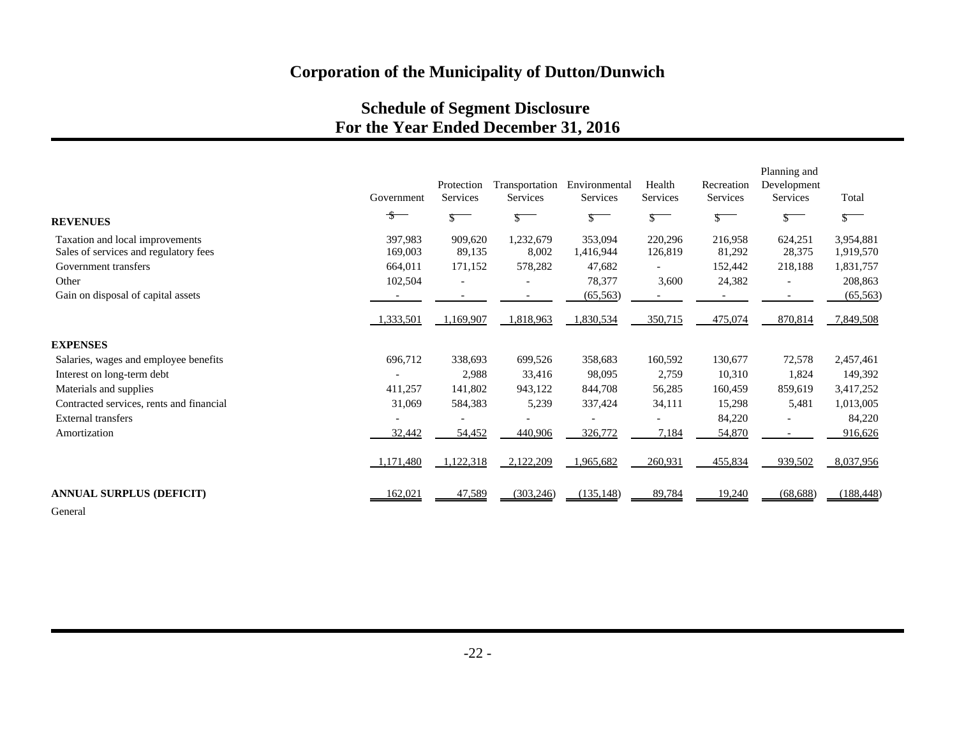### **Schedule of Segment Disclosure For the Year Ended December 31, 2016**

|                                                                          | Government         | Protection<br>Services | Transportation<br>Services | Environmental<br>Services | Health<br>Services | Recreation<br>Services | Planning and<br>Development<br>Services | Total                  |
|--------------------------------------------------------------------------|--------------------|------------------------|----------------------------|---------------------------|--------------------|------------------------|-----------------------------------------|------------------------|
| <b>REVENUES</b>                                                          | $\frac{1}{2}$      | T                      |                            | 2                         |                    |                        | T                                       | \$                     |
| Taxation and local improvements<br>Sales of services and regulatory fees | 397,983<br>169,003 | 909,620<br>89,135      | 1,232,679<br>8,002         | 353,094<br>1,416,944      | 220,296<br>126,819 | 216,958<br>81,292      | 624,251<br>28,375                       | 3,954,881<br>1,919,570 |
| Government transfers                                                     | 664,011            | 171,152                | 578,282                    | 47,682                    |                    | 152,442                | 218,188                                 | 1,831,757              |
| Other                                                                    | 102,504            |                        |                            | 78,377                    | 3,600              | 24,382                 |                                         | 208,863                |
| Gain on disposal of capital assets                                       |                    |                        |                            | (65, 563)                 |                    |                        |                                         | (65, 563)              |
|                                                                          | 1,333,501          | 1,169,907              | 1,818,963                  | 1,830,534                 | 350,715            | 475,074                | 870,814                                 | 7,849,508              |
| <b>EXPENSES</b>                                                          |                    |                        |                            |                           |                    |                        |                                         |                        |
| Salaries, wages and employee benefits                                    | 696,712            | 338,693                | 699,526                    | 358,683                   | 160,592            | 130,677                | 72,578                                  | 2,457,461              |
| Interest on long-term debt                                               |                    | 2,988                  | 33,416                     | 98,095                    | 2,759              | 10,310                 | 1,824                                   | 149,392                |
| Materials and supplies                                                   | 411,257            | 141,802                | 943,122                    | 844,708                   | 56,285             | 160,459                | 859,619                                 | 3,417,252              |
| Contracted services, rents and financial                                 | 31,069             | 584,383                | 5,239                      | 337,424                   | 34,111             | 15,298                 | 5,481                                   | 1,013,005              |
| <b>External transfers</b>                                                |                    |                        |                            |                           |                    | 84,220                 |                                         | 84,220                 |
| Amortization                                                             | 32,442             | 54,452                 | 440,906                    | 326,772                   | 7,184              | 54,870                 |                                         | 916,626                |
|                                                                          | 1,171,480          | 1,122,318              | 2,122,209                  | 1,965,682                 | 260,931            | 455,834                | 939,502                                 | 8,037,956              |
| <b>ANNUAL SURPLUS (DEFICIT)</b>                                          | 162,021            | 47,589                 | (303, 246)                 | (135, 148)                | 89,784             | 19,240                 | (68, 688)                               | (188, 448)             |

General